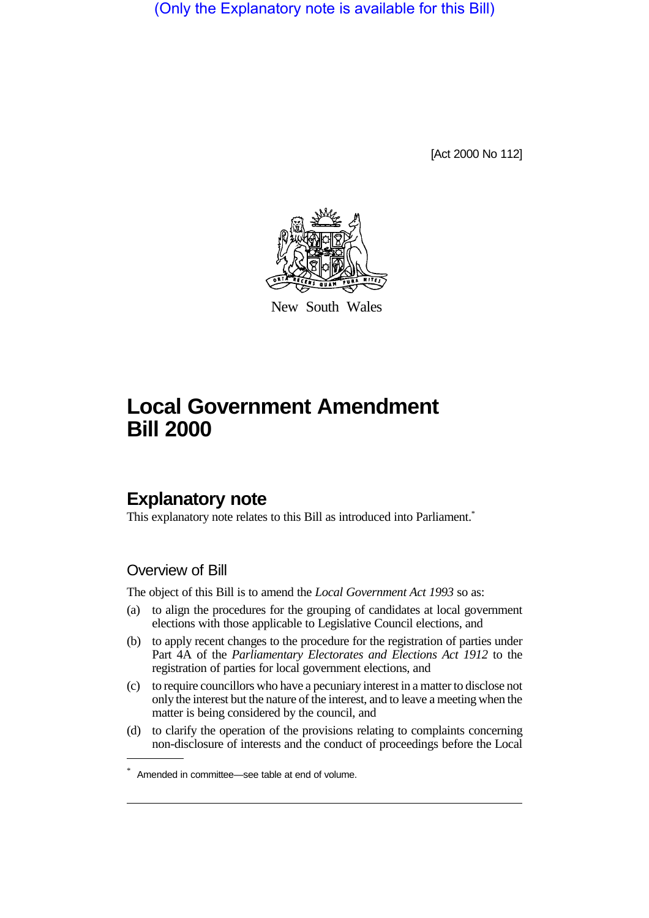(Only the Explanatory note is available for this Bill)

[Act 2000 No 112]



New South Wales

# **Local Government Amendment Bill 2000**

# **Explanatory note**

This explanatory note relates to this Bill as introduced into Parliament.<sup>\*</sup>

### Overview of Bill

The object of this Bill is to amend the *Local Government Act 1993* so as:

- (a) to align the procedures for the grouping of candidates at local government elections with those applicable to Legislative Council elections, and
- (b) to apply recent changes to the procedure for the registration of parties under Part 4A of the *Parliamentary Electorates and Elections Act 1912* to the registration of parties for local government elections, and
- (c) to require councillors who have a pecuniary interest in a matter to disclose not only the interest but the nature of the interest, and to leave a meeting when the matter is being considered by the council, and
- (d) to clarify the operation of the provisions relating to complaints concerning non-disclosure of interests and the conduct of proceedings before the Local

<sup>\*</sup> Amended in committee—see table at end of volume.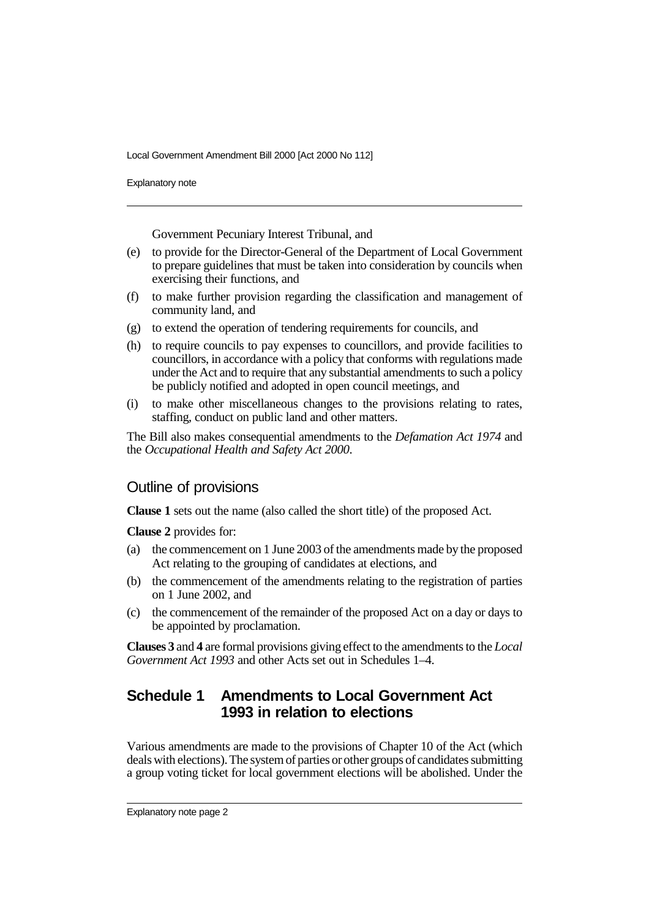Explanatory note

Government Pecuniary Interest Tribunal, and

- (e) to provide for the Director-General of the Department of Local Government to prepare guidelines that must be taken into consideration by councils when exercising their functions, and
- (f) to make further provision regarding the classification and management of community land, and
- (g) to extend the operation of tendering requirements for councils, and
- (h) to require councils to pay expenses to councillors, and provide facilities to councillors, in accordance with a policy that conforms with regulations made under the Act and to require that any substantial amendments to such a policy be publicly notified and adopted in open council meetings, and
- (i) to make other miscellaneous changes to the provisions relating to rates, staffing, conduct on public land and other matters.

The Bill also makes consequential amendments to the *Defamation Act 1974* and the *Occupational Health and Safety Act 2000*.

### Outline of provisions

**Clause 1** sets out the name (also called the short title) of the proposed Act.

**Clause 2** provides for:

- (a) the commencement on 1 June 2003 of the amendments made by the proposed Act relating to the grouping of candidates at elections, and
- (b) the commencement of the amendments relating to the registration of parties on 1 June 2002, and
- (c) the commencement of the remainder of the proposed Act on a day or days to be appointed by proclamation.

**Clauses 3** and **4** are formal provisions giving effect to the amendments to the *Local Government Act 1993* and other Acts set out in Schedules 1–4.

# **Schedule 1 Amendments to Local Government Act 1993 in relation to elections**

Various amendments are made to the provisions of Chapter 10 of the Act (which deals with elections). The system of parties or other groups of candidates submitting a group voting ticket for local government elections will be abolished. Under the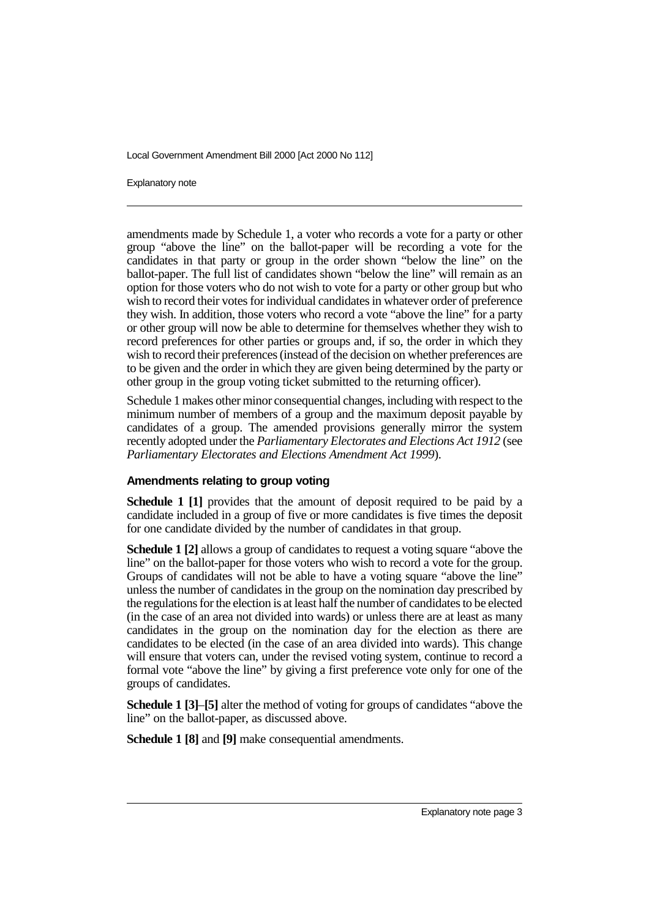Explanatory note

amendments made by Schedule 1, a voter who records a vote for a party or other group "above the line" on the ballot-paper will be recording a vote for the candidates in that party or group in the order shown "below the line" on the ballot-paper. The full list of candidates shown "below the line" will remain as an option for those voters who do not wish to vote for a party or other group but who wish to record their votes for individual candidates in whatever order of preference they wish. In addition, those voters who record a vote "above the line" for a party or other group will now be able to determine for themselves whether they wish to record preferences for other parties or groups and, if so, the order in which they wish to record their preferences (instead of the decision on whether preferences are to be given and the order in which they are given being determined by the party or other group in the group voting ticket submitted to the returning officer).

Schedule 1 makes other minor consequential changes, including with respect to the minimum number of members of a group and the maximum deposit payable by candidates of a group. The amended provisions generally mirror the system recently adopted under the *Parliamentary Electorates and Elections Act 1912* (see *Parliamentary Electorates and Elections Amendment Act 1999*).

#### **Amendments relating to group voting**

**Schedule 1 [1]** provides that the amount of deposit required to be paid by a candidate included in a group of five or more candidates is five times the deposit for one candidate divided by the number of candidates in that group.

**Schedule 1 [2]** allows a group of candidates to request a voting square "above the line" on the ballot-paper for those voters who wish to record a vote for the group. Groups of candidates will not be able to have a voting square "above the line" unless the number of candidates in the group on the nomination day prescribed by the regulations for the election is at least half the number of candidates to be elected (in the case of an area not divided into wards) or unless there are at least as many candidates in the group on the nomination day for the election as there are candidates to be elected (in the case of an area divided into wards). This change will ensure that voters can, under the revised voting system, continue to record a formal vote "above the line" by giving a first preference vote only for one of the groups of candidates.

**Schedule 1 [3]**–**[5]** alter the method of voting for groups of candidates "above the line" on the ballot-paper, as discussed above.

**Schedule 1 [8]** and **[9]** make consequential amendments.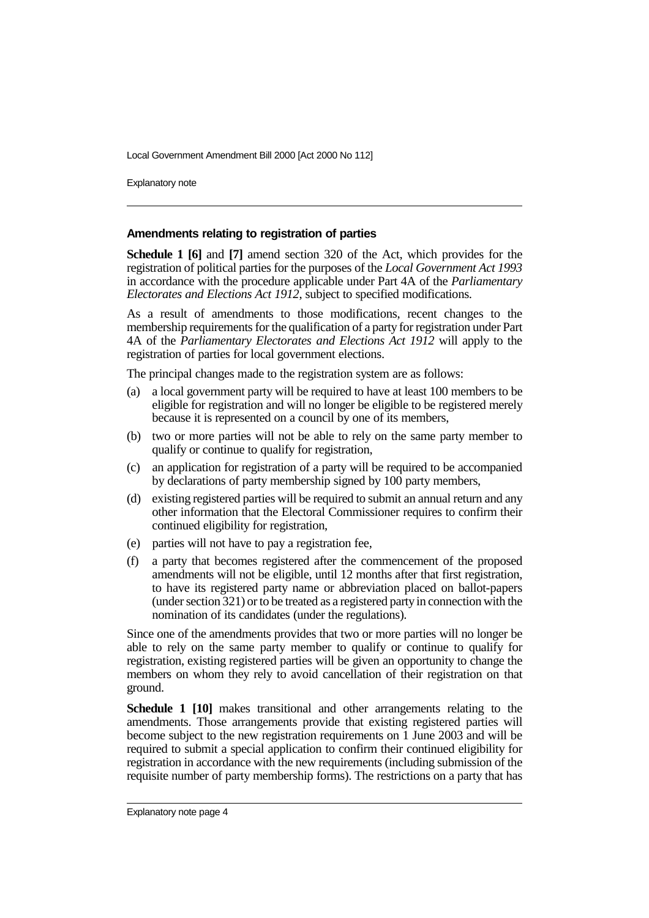Explanatory note

#### **Amendments relating to registration of parties**

**Schedule 1 [6]** and **[7]** amend section 320 of the Act, which provides for the registration of political parties for the purposes of the *Local Government Act 1993* in accordance with the procedure applicable under Part 4A of the *Parliamentary Electorates and Elections Act 1912*, subject to specified modifications.

As a result of amendments to those modifications, recent changes to the membership requirements for the qualification of a party for registration under Part 4A of the *Parliamentary Electorates and Elections Act 1912* will apply to the registration of parties for local government elections.

The principal changes made to the registration system are as follows:

- (a) a local government party will be required to have at least 100 members to be eligible for registration and will no longer be eligible to be registered merely because it is represented on a council by one of its members,
- (b) two or more parties will not be able to rely on the same party member to qualify or continue to qualify for registration,
- (c) an application for registration of a party will be required to be accompanied by declarations of party membership signed by 100 party members,
- (d) existing registered parties will be required to submit an annual return and any other information that the Electoral Commissioner requires to confirm their continued eligibility for registration,
- (e) parties will not have to pay a registration fee,
- (f) a party that becomes registered after the commencement of the proposed amendments will not be eligible, until 12 months after that first registration, to have its registered party name or abbreviation placed on ballot-papers (under section 321) or to be treated as a registered party in connection with the nomination of its candidates (under the regulations).

Since one of the amendments provides that two or more parties will no longer be able to rely on the same party member to qualify or continue to qualify for registration, existing registered parties will be given an opportunity to change the members on whom they rely to avoid cancellation of their registration on that ground.

**Schedule 1 [10]** makes transitional and other arrangements relating to the amendments. Those arrangements provide that existing registered parties will become subject to the new registration requirements on 1 June 2003 and will be required to submit a special application to confirm their continued eligibility for registration in accordance with the new requirements (including submission of the requisite number of party membership forms). The restrictions on a party that has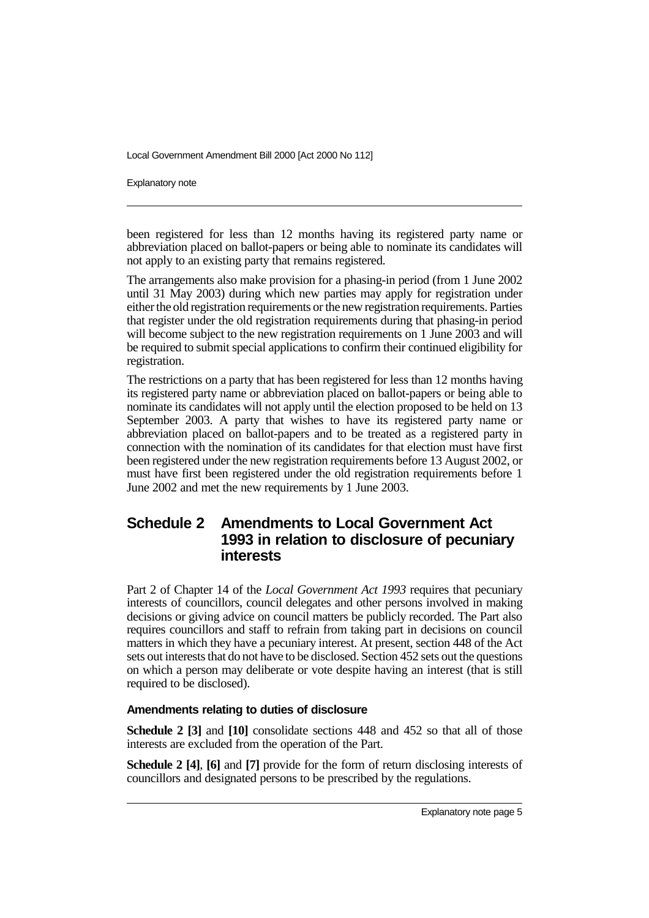Explanatory note

been registered for less than 12 months having its registered party name or abbreviation placed on ballot-papers or being able to nominate its candidates will not apply to an existing party that remains registered.

The arrangements also make provision for a phasing-in period (from 1 June 2002 until 31 May 2003) during which new parties may apply for registration under either the old registration requirements or the new registration requirements. Parties that register under the old registration requirements during that phasing-in period will become subject to the new registration requirements on 1 June 2003 and will be required to submit special applications to confirm their continued eligibility for registration.

The restrictions on a party that has been registered for less than 12 months having its registered party name or abbreviation placed on ballot-papers or being able to nominate its candidates will not apply until the election proposed to be held on 13 September 2003. A party that wishes to have its registered party name or abbreviation placed on ballot-papers and to be treated as a registered party in connection with the nomination of its candidates for that election must have first been registered under the new registration requirements before 13 August 2002, or must have first been registered under the old registration requirements before 1 June 2002 and met the new requirements by 1 June 2003.

### **Schedule 2 Amendments to Local Government Act 1993 in relation to disclosure of pecuniary interests**

Part 2 of Chapter 14 of the *Local Government Act 1993* requires that pecuniary interests of councillors, council delegates and other persons involved in making decisions or giving advice on council matters be publicly recorded. The Part also requires councillors and staff to refrain from taking part in decisions on council matters in which they have a pecuniary interest. At present, section 448 of the Act sets out interests that do not have to be disclosed. Section 452 sets out the questions on which a person may deliberate or vote despite having an interest (that is still required to be disclosed).

#### **Amendments relating to duties of disclosure**

**Schedule 2 [3]** and **[10]** consolidate sections 448 and 452 so that all of those interests are excluded from the operation of the Part.

**Schedule 2 [4]**, **[6]** and **[7]** provide for the form of return disclosing interests of councillors and designated persons to be prescribed by the regulations.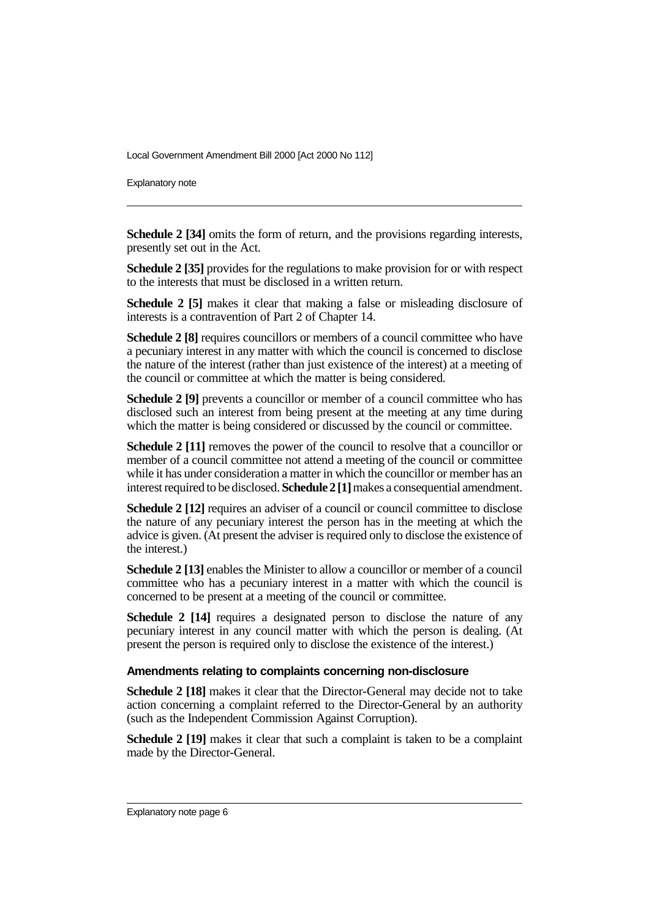Explanatory note

**Schedule 2 [34]** omits the form of return, and the provisions regarding interests, presently set out in the Act.

**Schedule 2 [35]** provides for the regulations to make provision for or with respect to the interests that must be disclosed in a written return.

**Schedule 2 [5]** makes it clear that making a false or misleading disclosure of interests is a contravention of Part 2 of Chapter 14.

**Schedule 2 [8]** requires councillors or members of a council committee who have a pecuniary interest in any matter with which the council is concerned to disclose the nature of the interest (rather than just existence of the interest) at a meeting of the council or committee at which the matter is being considered.

**Schedule 2 [9]** prevents a councillor or member of a council committee who has disclosed such an interest from being present at the meeting at any time during which the matter is being considered or discussed by the council or committee.

**Schedule 2** [11] removes the power of the council to resolve that a councillor or member of a council committee not attend a meeting of the council or committee while it has under consideration a matter in which the councillor or member has an interest required to be disclosed. **Schedule 2 [1]** makes a consequential amendment.

**Schedule 2 [12]** requires an adviser of a council or council committee to disclose the nature of any pecuniary interest the person has in the meeting at which the advice is given. (At present the adviser is required only to disclose the existence of the interest.)

**Schedule 2 [13]** enables the Minister to allow a councillor or member of a council committee who has a pecuniary interest in a matter with which the council is concerned to be present at a meeting of the council or committee.

**Schedule 2 [14]** requires a designated person to disclose the nature of any pecuniary interest in any council matter with which the person is dealing. (At present the person is required only to disclose the existence of the interest.)

#### **Amendments relating to complaints concerning non-disclosure**

**Schedule 2 [18]** makes it clear that the Director-General may decide not to take action concerning a complaint referred to the Director-General by an authority (such as the Independent Commission Against Corruption).

**Schedule 2 [19]** makes it clear that such a complaint is taken to be a complaint made by the Director-General.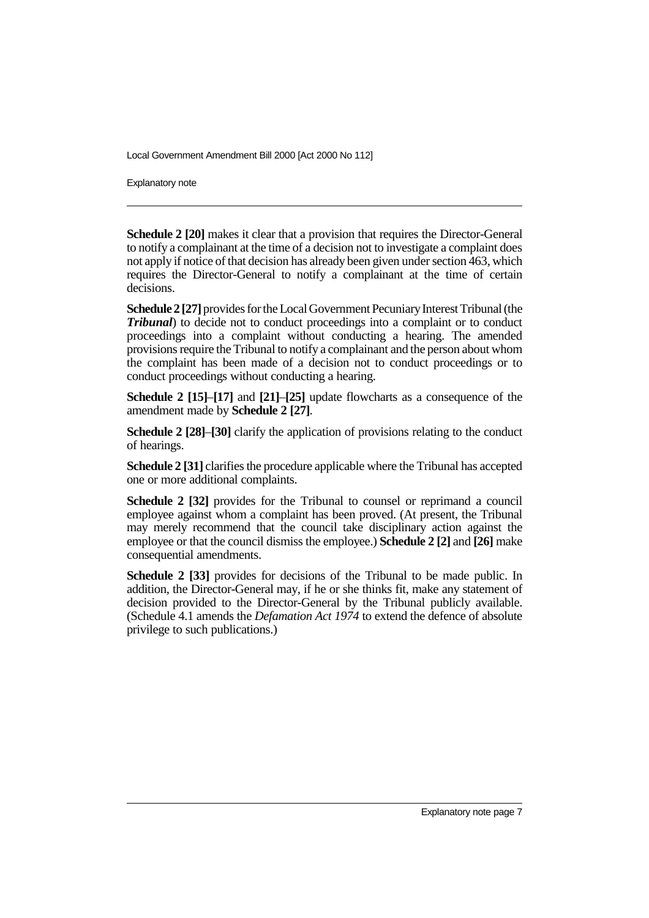Explanatory note

**Schedule 2 [20]** makes it clear that a provision that requires the Director-General to notify a complainant at the time of a decision not to investigate a complaint does not apply if notice of that decision has already been given under section 463, which requires the Director-General to notify a complainant at the time of certain decisions.

**Schedule 2 [27]** provides for the Local Government Pecuniary Interest Tribunal (the *Tribunal*) to decide not to conduct proceedings into a complaint or to conduct proceedings into a complaint without conducting a hearing. The amended provisions require the Tribunal to notify a complainant and the person about whom the complaint has been made of a decision not to conduct proceedings or to conduct proceedings without conducting a hearing.

**Schedule 2 [15]**–**[17]** and **[21]**–**[25]** update flowcharts as a consequence of the amendment made by **Schedule 2 [27]**.

**Schedule 2 [28]**–**[30]** clarify the application of provisions relating to the conduct of hearings.

**Schedule 2 [31]** clarifies the procedure applicable where the Tribunal has accepted one or more additional complaints.

**Schedule 2 [32]** provides for the Tribunal to counsel or reprimand a council employee against whom a complaint has been proved. (At present, the Tribunal may merely recommend that the council take disciplinary action against the employee or that the council dismiss the employee.) **Schedule 2 [2]** and **[26]** make consequential amendments.

**Schedule 2 [33]** provides for decisions of the Tribunal to be made public. In addition, the Director-General may, if he or she thinks fit, make any statement of decision provided to the Director-General by the Tribunal publicly available. (Schedule 4.1 amends the *Defamation Act 1974* to extend the defence of absolute privilege to such publications.)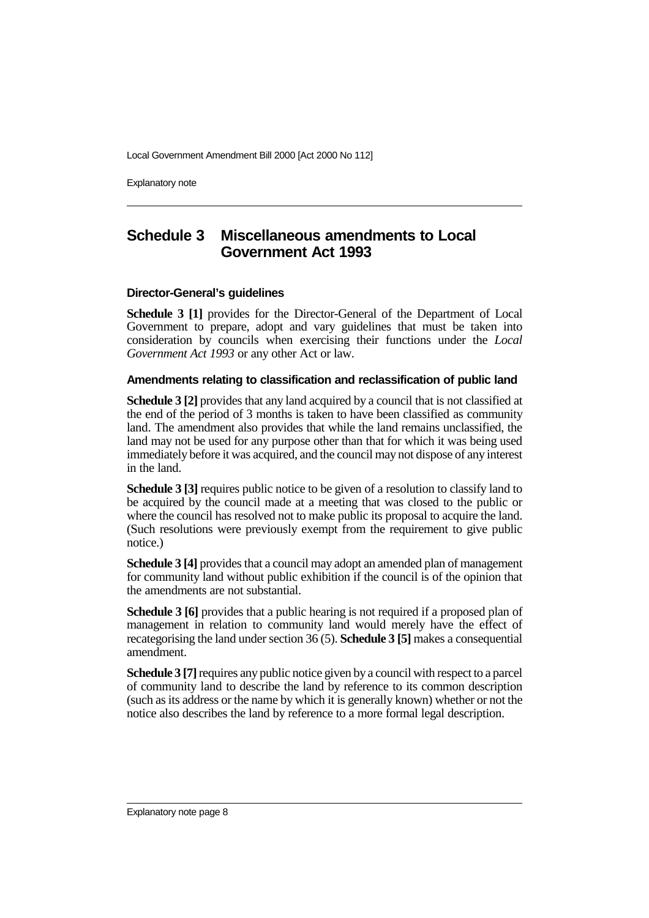Explanatory note

# **Schedule 3 Miscellaneous amendments to Local Government Act 1993**

#### **Director-General's guidelines**

**Schedule 3 [1]** provides for the Director-General of the Department of Local Government to prepare, adopt and vary guidelines that must be taken into consideration by councils when exercising their functions under the *Local Government Act 1993* or any other Act or law.

#### **Amendments relating to classification and reclassification of public land**

**Schedule 3 [2]** provides that any land acquired by a council that is not classified at the end of the period of 3 months is taken to have been classified as community land. The amendment also provides that while the land remains unclassified, the land may not be used for any purpose other than that for which it was being used immediately before it was acquired, and the council may not dispose of any interest in the land.

**Schedule 3 [3]** requires public notice to be given of a resolution to classify land to be acquired by the council made at a meeting that was closed to the public or where the council has resolved not to make public its proposal to acquire the land. (Such resolutions were previously exempt from the requirement to give public notice.)

**Schedule 3 [4]** provides that a council may adopt an amended plan of management for community land without public exhibition if the council is of the opinion that the amendments are not substantial.

**Schedule 3 [6]** provides that a public hearing is not required if a proposed plan of management in relation to community land would merely have the effect of recategorising the land under section 36 (5). **Schedule 3 [5]** makes a consequential amendment.

**Schedule 3 [7]** requires any public notice given by a council with respect to a parcel of community land to describe the land by reference to its common description (such as its address or the name by which it is generally known) whether or not the notice also describes the land by reference to a more formal legal description.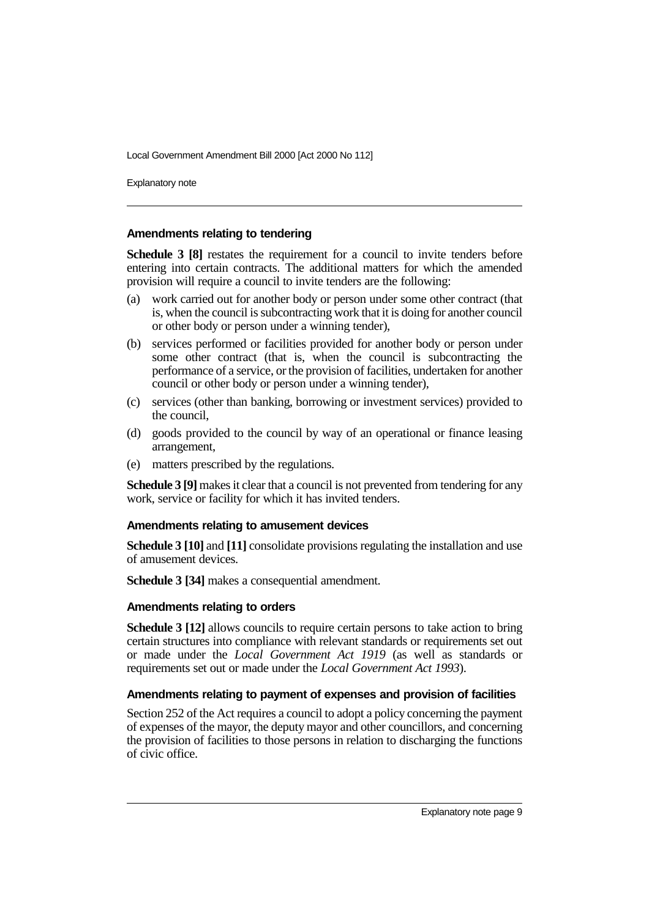Explanatory note

#### **Amendments relating to tendering**

**Schedule 3 [8]** restates the requirement for a council to invite tenders before entering into certain contracts. The additional matters for which the amended provision will require a council to invite tenders are the following:

- (a) work carried out for another body or person under some other contract (that is, when the council is subcontracting work that it is doing for another council or other body or person under a winning tender),
- (b) services performed or facilities provided for another body or person under some other contract (that is, when the council is subcontracting the performance of a service, or the provision of facilities, undertaken for another council or other body or person under a winning tender),
- (c) services (other than banking, borrowing or investment services) provided to the council,
- (d) goods provided to the council by way of an operational or finance leasing arrangement,
- (e) matters prescribed by the regulations.

**Schedule 3 [9]** makes it clear that a council is not prevented from tendering for any work, service or facility for which it has invited tenders.

#### **Amendments relating to amusement devices**

**Schedule 3 [10]** and **[11]** consolidate provisions regulating the installation and use of amusement devices.

**Schedule 3 [34]** makes a consequential amendment.

#### **Amendments relating to orders**

**Schedule 3 [12]** allows councils to require certain persons to take action to bring certain structures into compliance with relevant standards or requirements set out or made under the *Local Government Act 1919* (as well as standards or requirements set out or made under the *Local Government Act 1993*).

#### **Amendments relating to payment of expenses and provision of facilities**

Section 252 of the Act requires a council to adopt a policy concerning the payment of expenses of the mayor, the deputy mayor and other councillors, and concerning the provision of facilities to those persons in relation to discharging the functions of civic office.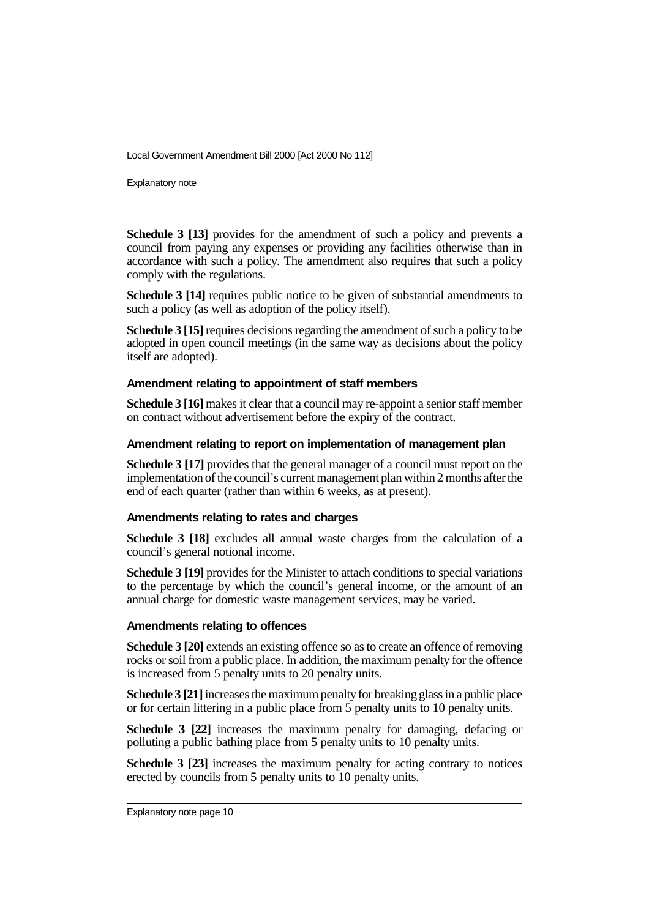Explanatory note

**Schedule 3 [13]** provides for the amendment of such a policy and prevents a council from paying any expenses or providing any facilities otherwise than in accordance with such a policy. The amendment also requires that such a policy comply with the regulations.

**Schedule 3 [14]** requires public notice to be given of substantial amendments to such a policy (as well as adoption of the policy itself).

**Schedule 3 [15]** requires decisions regarding the amendment of such a policy to be adopted in open council meetings (in the same way as decisions about the policy itself are adopted).

#### **Amendment relating to appointment of staff members**

**Schedule 3 [16]** makes it clear that a council may re-appoint a senior staff member on contract without advertisement before the expiry of the contract.

#### **Amendment relating to report on implementation of management plan**

**Schedule 3 [17]** provides that the general manager of a council must report on the implementation of the council's current management plan within 2 months after the end of each quarter (rather than within 6 weeks, as at present).

#### **Amendments relating to rates and charges**

**Schedule 3 [18]** excludes all annual waste charges from the calculation of a council's general notional income.

**Schedule 3 [19]** provides for the Minister to attach conditions to special variations to the percentage by which the council's general income, or the amount of an annual charge for domestic waste management services, may be varied.

#### **Amendments relating to offences**

**Schedule 3 [20]** extends an existing offence so as to create an offence of removing rocks or soil from a public place. In addition, the maximum penalty for the offence is increased from 5 penalty units to 20 penalty units.

**Schedule 3 [21]** increases the maximum penalty for breaking glass in a public place or for certain littering in a public place from 5 penalty units to 10 penalty units.

**Schedule 3 [22]** increases the maximum penalty for damaging, defacing or polluting a public bathing place from 5 penalty units to 10 penalty units.

**Schedule 3 [23]** increases the maximum penalty for acting contrary to notices erected by councils from 5 penalty units to 10 penalty units.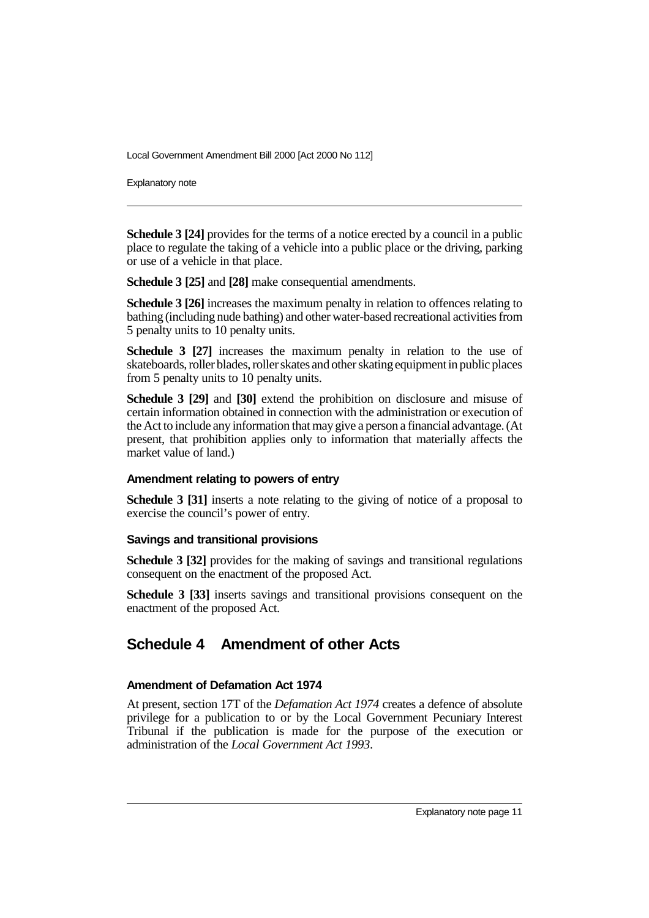Explanatory note

**Schedule 3 [24]** provides for the terms of a notice erected by a council in a public place to regulate the taking of a vehicle into a public place or the driving, parking or use of a vehicle in that place.

**Schedule 3 [25]** and **[28]** make consequential amendments.

**Schedule 3 [26]** increases the maximum penalty in relation to offences relating to bathing (including nude bathing) and other water-based recreational activities from 5 penalty units to 10 penalty units.

**Schedule 3 [27]** increases the maximum penalty in relation to the use of skateboards, roller blades, roller skates and other skating equipment in public places from 5 penalty units to 10 penalty units.

**Schedule 3 [29]** and **[30]** extend the prohibition on disclosure and misuse of certain information obtained in connection with the administration or execution of the Act to include any information that may give a person a financial advantage. (At present, that prohibition applies only to information that materially affects the market value of land.)

#### **Amendment relating to powers of entry**

**Schedule 3 [31]** inserts a note relating to the giving of notice of a proposal to exercise the council's power of entry.

### **Savings and transitional provisions**

**Schedule 3 [32]** provides for the making of savings and transitional regulations consequent on the enactment of the proposed Act.

**Schedule 3 [33]** inserts savings and transitional provisions consequent on the enactment of the proposed Act.

# **Schedule 4 Amendment of other Acts**

### **Amendment of Defamation Act 1974**

At present, section 17T of the *Defamation Act 1974* creates a defence of absolute privilege for a publication to or by the Local Government Pecuniary Interest Tribunal if the publication is made for the purpose of the execution or administration of the *Local Government Act 1993*.